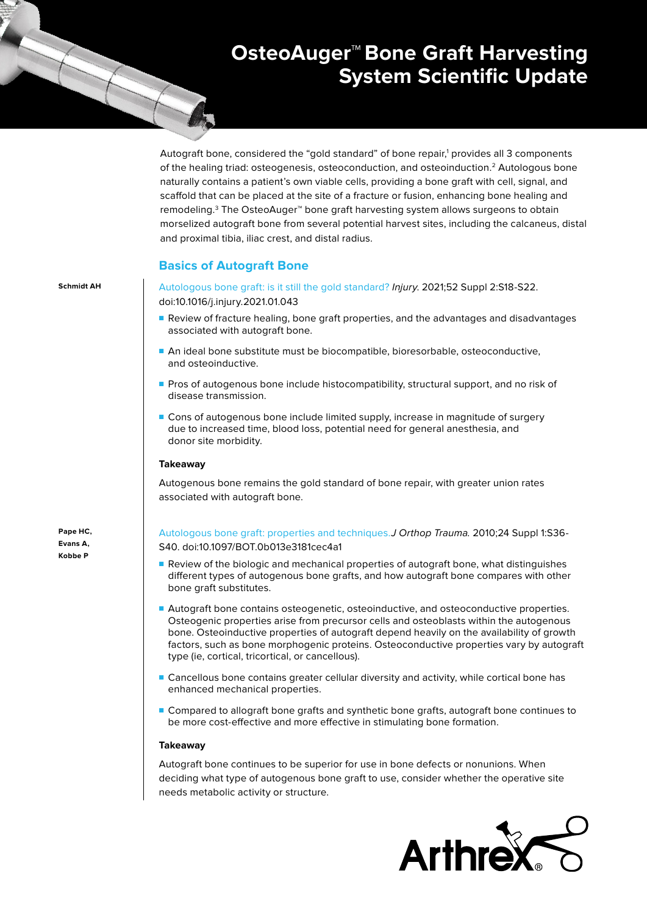# **OsteoAuger™Bone Graft Harvesting System Scientific Update**

Autograft bone, considered the "gold standard" of bone repair,<sup>1</sup> provides all 3 components of the healing triad: osteogenesis, osteoconduction, and osteoinduction.2 Autologous bone naturally contains a patient's own viable cells, providing a bone graft with cell, signal, and scaffold that can be placed at the site of a fracture or fusion, enhancing bone healing and remodeling.<sup>3</sup> The OsteoAuger™ bone graft harvesting system allows surgeons to obtain morselized autograft bone from several potential harvest sites, including the calcaneus, distal and proximal tibia, iliac crest, and distal radius.

# **Basics of Autograft Bone**

**Schmidt AH** [Autologous bone graft: is it still the gold standard?](https://pubmed.ncbi.nlm.nih.gov/33563416/) Injury. 2021;52 Suppl 2:S18-S22. doi:10.1016/j.injury.2021.01.043

- Review of fracture healing, bone graft properties, and the advantages and disadvantages associated with autograft bone.
- An ideal bone substitute must be biocompatible, bioresorbable, osteoconductive, and osteoinductive.
- Pros of autogenous bone include histocompatibility, structural support, and no risk of disease transmission.
- Cons of autogenous bone include limited supply, increase in magnitude of surgery due to increased time, blood loss, potential need for general anesthesia, and donor site morbidity.

## **Takeaway**

Autogenous bone remains the gold standard of bone repair, with greater union rates associated with autograft bone.

**Pape HC, Evans A, Kobbe P**

[Autologous bone graft: properties and techniques.](https://pubmed.ncbi.nlm.nih.gov/20182233/)J Orthop Trauma. 2010;24 Suppl 1:S36- S40. doi:10.1097/BOT.0b013e3181cec4a1

- Review of the biologic and mechanical properties of autograft bone, what distinguishes different types of autogenous bone grafts, and how autograft bone compares with other bone graft substitutes.
- Autograft bone contains osteogenetic, osteoinductive, and osteoconductive properties. Osteogenic properties arise from precursor cells and osteoblasts within the autogenous bone. Osteoinductive properties of autograft depend heavily on the availability of growth factors, such as bone morphogenic proteins. Osteoconductive properties vary by autograft type (ie, cortical, tricortical, or cancellous).
- Cancellous bone contains greater cellular diversity and activity, while cortical bone has enhanced mechanical properties.
- Compared to allograft bone grafts and synthetic bone grafts, autograft bone continues to be more cost-effective and more effective in stimulating bone formation.

## **Takeaway**

Autograft bone continues to be superior for use in bone defects or nonunions. When deciding what type of autogenous bone graft to use, consider whether the operative site needs metabolic activity or structure.

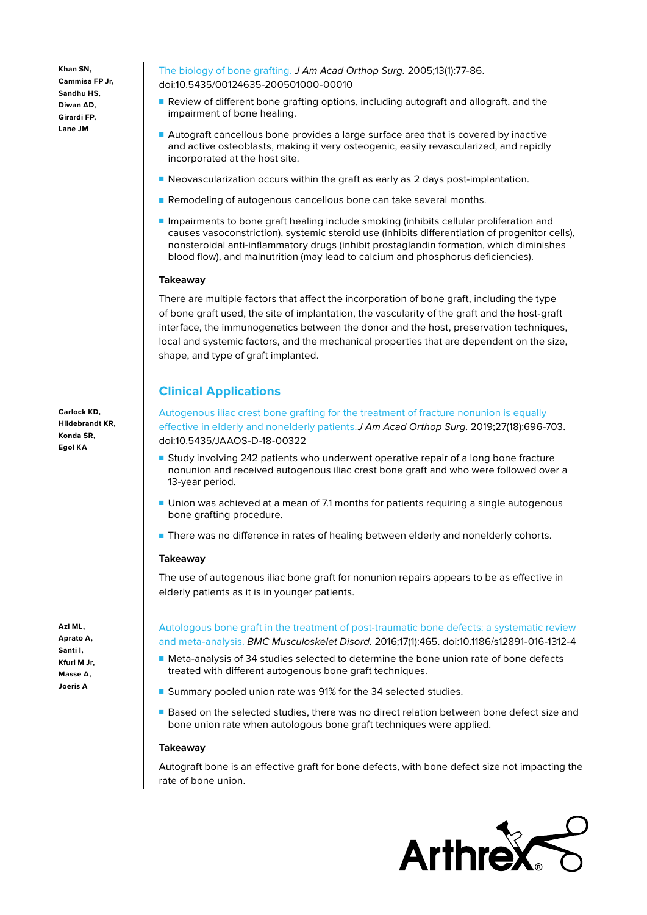**Khan SN, Cammisa FP Jr, Sandhu HS, Diwan AD, Girardi FP, Lane JM**

**Carlock KD, Hildebrandt KR, Konda SR, Egol KA**

**Azi ML, Aprato A, Santi I, Kfuri M Jr, Masse A, Joeris A**

[The biology of bone grafting.](https://pubmed.ncbi.nlm.nih.gov/15712985/) J Am Acad Orthop Surg. 2005;13(1):77-86. doi:10.5435/00124635-200501000-00010

- Review of different bone grafting options, including autograft and allograft, and the impairment of bone healing.
- Autograft cancellous bone provides a large surface area that is covered by inactive and active osteoblasts, making it very osteogenic, easily revascularized, and rapidly incorporated at the host site.
- Neovascularization occurs within the graft as early as 2 days post-implantation.
- Remodeling of autogenous cancellous bone can take several months.
- Impairments to bone graft healing include smoking (inhibits cellular proliferation and causes vasoconstriction), systemic steroid use (inhibits differentiation of progenitor cells), nonsteroidal anti-inflammatory drugs (inhibit prostaglandin formation, which diminishes blood flow), and malnutrition (may lead to calcium and phosphorus deficiencies).

# **Takeaway**

There are multiple factors that affect the incorporation of bone graft, including the type of bone graft used, the site of implantation, the vascularity of the graft and the host-graft interface, the immunogenetics between the donor and the host, preservation techniques, local and systemic factors, and the mechanical properties that are dependent on the size, shape, and type of graft implanted.

# **Clinical Applications**

[Autogenous iliac crest bone grafting for the treatment of fracture nonunion is equally](https://pubmed.ncbi.nlm.nih.gov/30628999/)  [effective in elderly and nonelderly patients.](https://pubmed.ncbi.nlm.nih.gov/30628999/)J Am Acad Orthop Surg. 2019;27(18):696-703. doi:10.5435/JAAOS-D-18-00322

- Study involving 242 patients who underwent operative repair of a long bone fracture nonunion and received autogenous iliac crest bone graft and who were followed over a 13-year period.
- Union was achieved at a mean of 7.1 months for patients requiring a single autogenous bone grafting procedure.
- There was no difference in rates of healing between elderly and nonelderly cohorts.

# **Takeaway**

The use of autogenous iliac bone graft for nonunion repairs appears to be as effective in elderly patients as it is in younger patients.

[Autologous bone graft in the treatment of post-traumatic bone defects: a systematic review](https://pubmed.ncbi.nlm.nih.gov/27829447/)  [and meta-analysis.](https://pubmed.ncbi.nlm.nih.gov/27829447/) BMC Musculoskelet Disord. 2016;17(1):465. doi:10.1186/s12891-016-1312-4

- Meta-analysis of 34 studies selected to determine the bone union rate of bone defects treated with different autogenous bone graft techniques.
- Summary pooled union rate was 91% for the 34 selected studies.
- Based on the selected studies, there was no direct relation between bone defect size and bone union rate when autologous bone graft techniques were applied.

## **Takeaway**

Autograft bone is an effective graft for bone defects, with bone defect size not impacting the rate of bone union.

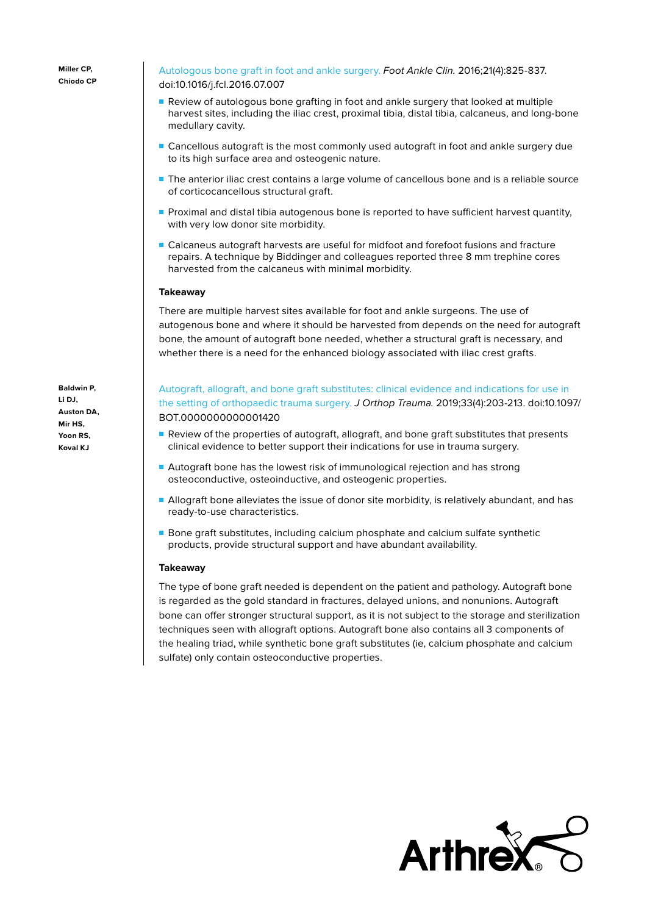**Miller CP, Chiodo CP**

[Autologous bone graft in foot and ankle surgery.](https://pubmed.ncbi.nlm.nih.gov/27871415/) Foot Ankle Clin. 2016;21(4):825-837. doi:10.1016/j.fcl.2016.07.007

- Review of autologous bone grafting in foot and ankle surgery that looked at multiple harvest sites, including the iliac crest, proximal tibia, distal tibia, calcaneus, and long-bone medullary cavity.
- Cancellous autograft is the most commonly used autograft in foot and ankle surgery due to its high surface area and osteogenic nature.
- The anterior iliac crest contains a large volume of cancellous bone and is a reliable source of corticocancellous structural graft.
- Proximal and distal tibia autogenous bone is reported to have sufficient harvest quantity, with very low donor site morbidity.
- Calcaneus autograft harvests are useful for midfoot and forefoot fusions and fracture repairs. A technique by Biddinger and colleagues reported three 8 mm trephine cores harvested from the calcaneus with minimal morbidity.

#### **Takeaway**

There are multiple harvest sites available for foot and ankle surgeons. The use of autogenous bone and where it should be harvested from depends on the need for autograft bone, the amount of autograft bone needed, whether a structural graft is necessary, and whether there is a need for the enhanced biology associated with iliac crest grafts.

**Baldwin P, Li DJ, Auston DA, Mir HS, Yoon RS, Koval KJ**

[Autograft, allograft, and bone graft substitutes: clinical evidence and indications for use in](https://pubmed.ncbi.nlm.nih.gov/30633080/)  [the setting of orthopaedic trauma surgery.](https://pubmed.ncbi.nlm.nih.gov/30633080/) J Orthop Trauma. 2019;33(4):203-213. doi:10.1097/ BOT.0000000000001420

- Review of the properties of autograft, allograft, and bone graft substitutes that presents clinical evidence to better support their indications for use in trauma surgery.
- Autograft bone has the lowest risk of immunological rejection and has strong osteoconductive, osteoinductive, and osteogenic properties.
- Allograft bone alleviates the issue of donor site morbidity, is relatively abundant, and has ready-to-use characteristics.
- Bone graft substitutes, including calcium phosphate and calcium sulfate synthetic products, provide structural support and have abundant availability.

## **Takeaway**

The type of bone graft needed is dependent on the patient and pathology. Autograft bone is regarded as the gold standard in fractures, delayed unions, and nonunions. Autograft bone can offer stronger structural support, as it is not subject to the storage and sterilization techniques seen with allograft options. Autograft bone also contains all 3 components of the healing triad, while synthetic bone graft substitutes (ie, calcium phosphate and calcium sulfate) only contain osteoconductive properties.